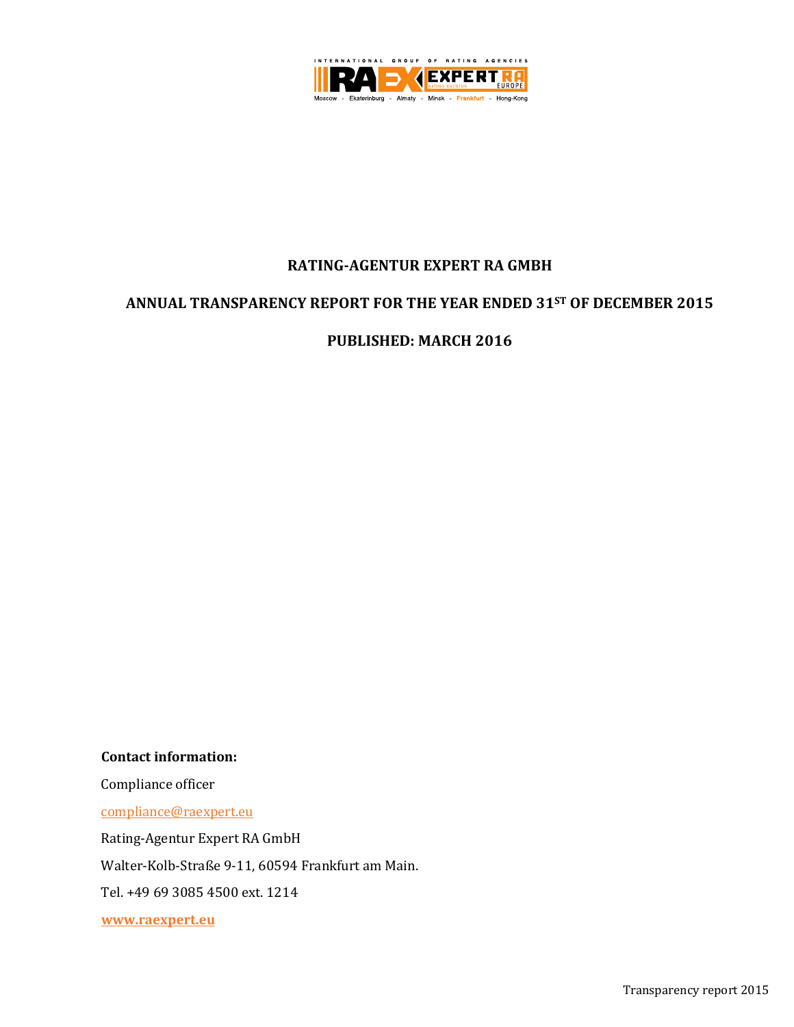

# **RATING-AGENTUR EXPERT RA GMBH**

# **ANNUAL TRANSPARENCY REPORT FOR THE YEAR ENDED 31ST OF DECEMBER 2015**

**PUBLISHED: MARCH 2016**

**Contact information:**

Compliance officer

[compliance@raexpert.eu](mailto:compliance@raexpert.eu)

Rating-Agentur Expert RA GmbH

Walter-Kolb-Straße 9-11, 60594 Frankfurt am Main.

Tel. +49 69 3085 4500 ext. 1214

**[www.raexpert.eu](http://www.raexpert.eu/)**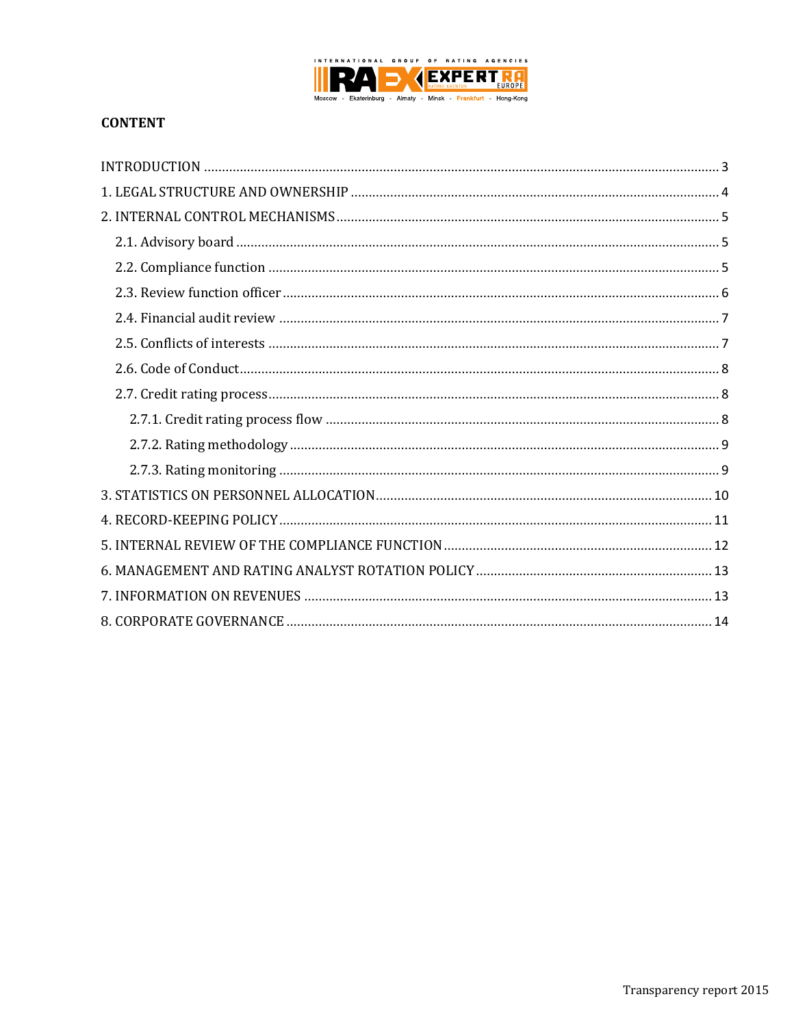

# **CONTENT**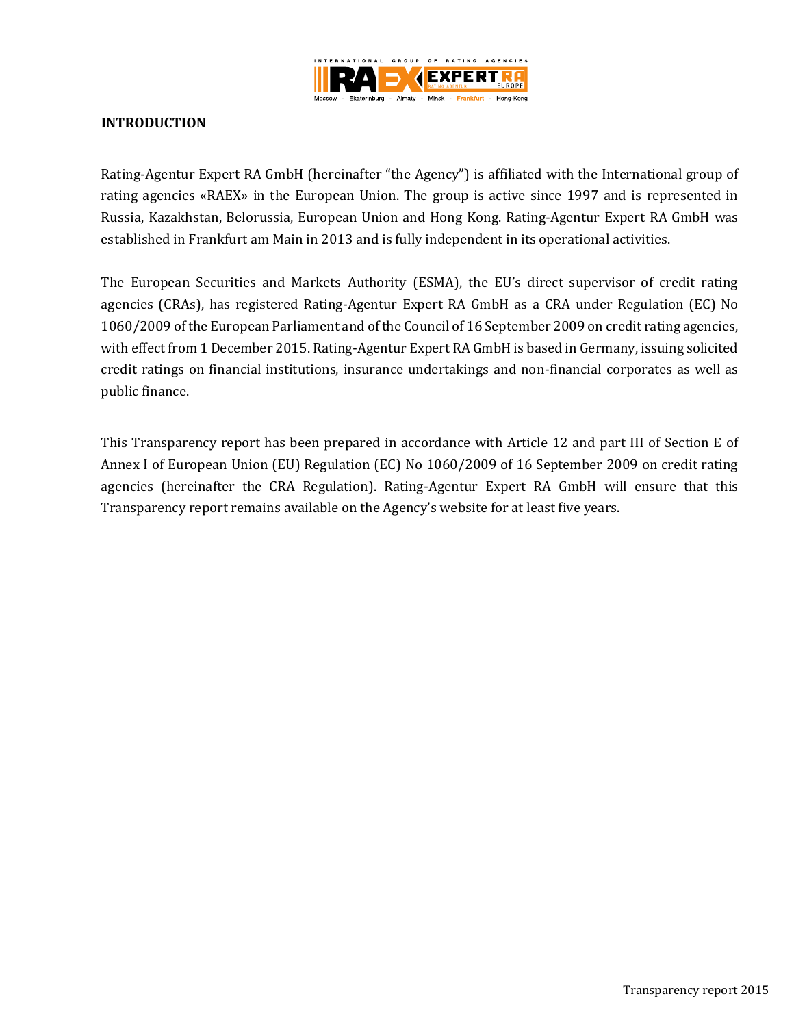

### <span id="page-2-0"></span>**INTRODUCTION**

Rating-Agentur Expert RA GmbH (hereinafter "the Agency") is affiliated with the International group of rating agencies «RAEX» in the European Union. The group is active since 1997 and is represented in Russia, Kazakhstan, Belorussia, European Union and Hong Kong. Rating-Agentur Expert RA GmbH was established in Frankfurt am Main in 2013 and is fully independent in its operational activities.

The European Securities and Markets Authority (ESMA), the EU's direct supervisor of credit rating agencies (CRAs), has registered Rating-Agentur Expert RA GmbH as a CRA under Regulation (EC) No 1060/2009 of the European Parliament and of the Council of 16 September 2009 on credit rating agencies, with effect from 1 December 2015. Rating-Agentur Expert RA GmbH is based in Germany, issuing solicited credit ratings on financial institutions, insurance undertakings and non-financial corporates as well as public finance.

This Transparency report has been prepared in accordance with Article 12 and part III of Section E of Annex I of European Union (EU) Regulation (EC) No 1060/2009 of 16 September 2009 on credit rating agencies (hereinafter the CRA Regulation). Rating-Agentur Expert RA GmbH will ensure that this Transparency report remains available on the Agency's website for at least five years.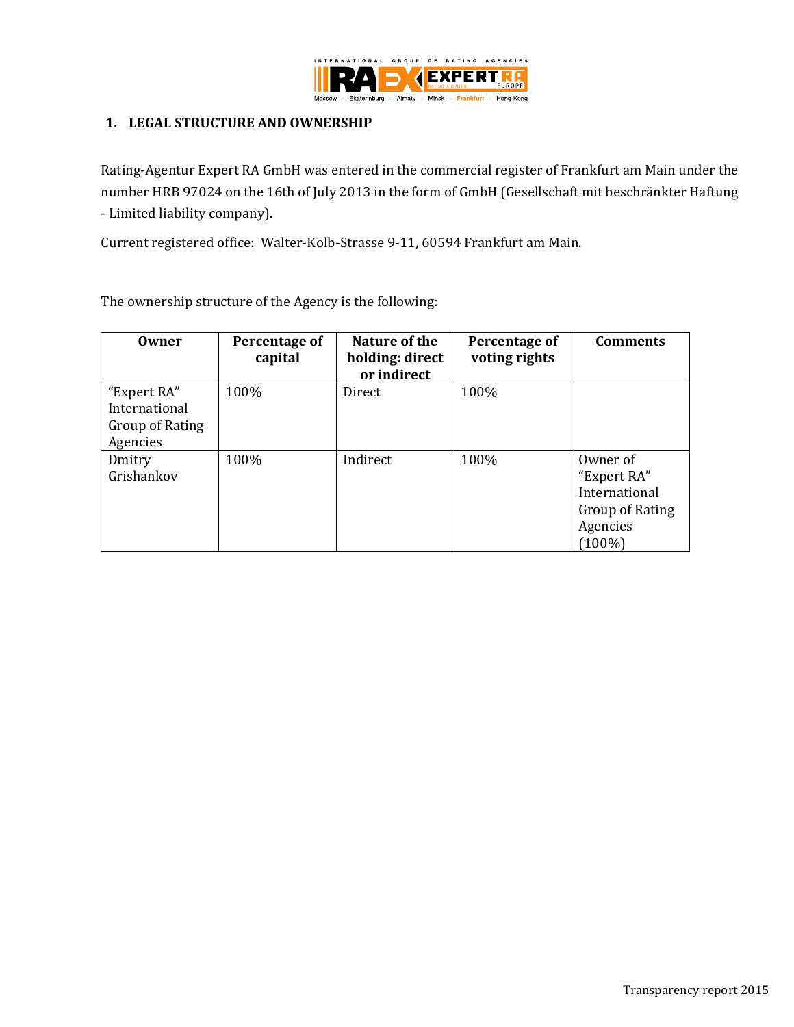

#### <span id="page-3-0"></span>**1. LEGAL STRUCTURE AND OWNERSHIP**

Rating-Agentur Expert RA GmbH was entered in the commercial register of Frankfurt am Main under the number HRB 97024 on the 16th of July 2013 in the form of GmbH (Gesellschaft mit beschränkter Haftung - Limited liability company).

Current registered office: Walter-Kolb-Strasse 9-11, 60594 Frankfurt am Main.

The ownership structure of the Agency is the following:

<span id="page-3-1"></span>

| Owner                                                       | Percentage of<br>capital | Nature of the<br>holding: direct<br>or indirect | Percentage of<br>voting rights | <b>Comments</b>                                                                      |
|-------------------------------------------------------------|--------------------------|-------------------------------------------------|--------------------------------|--------------------------------------------------------------------------------------|
| "Expert RA"<br>International<br>Group of Rating<br>Agencies | 100%                     | Direct                                          | 100%                           |                                                                                      |
| Dmitry<br>Grishankov                                        | 100%                     | Indirect                                        | 100%                           | Owner of<br>"Expert RA"<br>International<br>Group of Rating<br>Agencies<br>$(100\%)$ |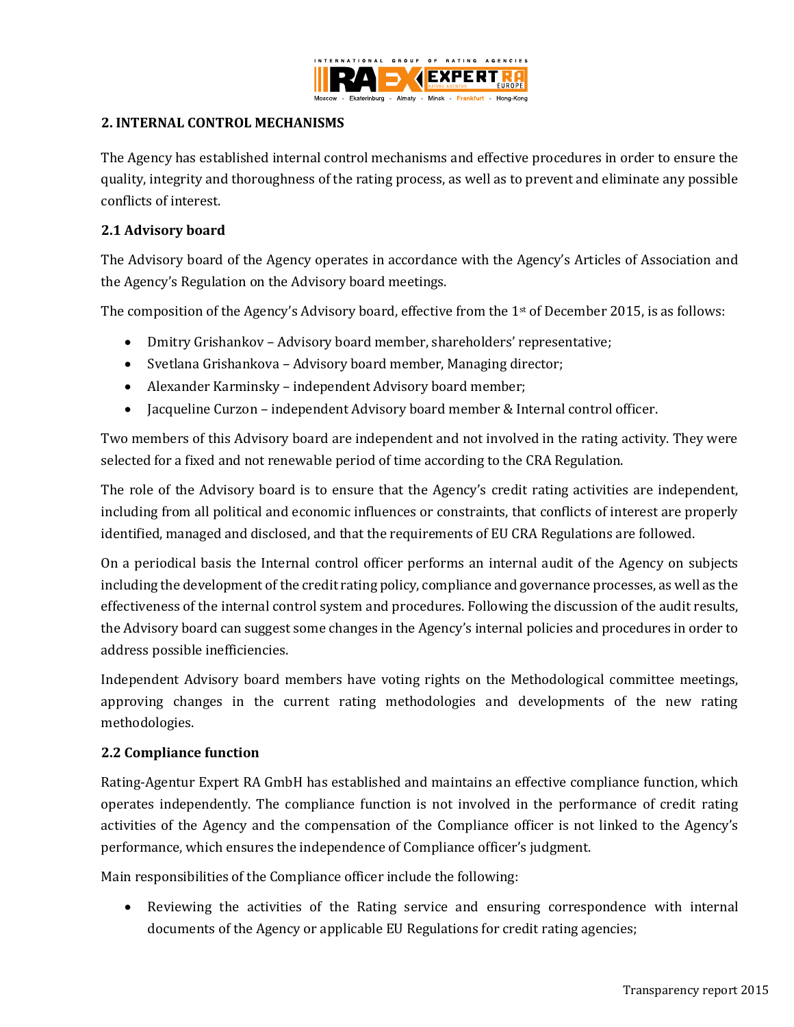

### **2. INTERNAL CONTROL MECHANISMS**

The Agency has established internal control mechanisms and effective procedures in order to ensure the quality, integrity and thoroughness of the rating process, as well as to prevent and eliminate any possible conflicts of interest.

### <span id="page-4-0"></span>**2.1 Advisory board**

The Advisory board of the Agency operates in accordance with the Agency's Articles of Association and the Agency's Regulation on the Advisory board meetings.

The composition of the Agency's Advisory board, effective from the 1<sup>st</sup> of December 2015, is as follows:

- Dmitry Grishankov Advisory board member, shareholders' representative;
- Svetlana Grishankova Advisory board member, Managing director;
- Alexander Karminsky independent Advisory board member;
- Jacqueline Curzon independent Advisory board member & Internal control officer.

Two members of this Advisory board are independent and not involved in the rating activity. They were selected for a fixed and not renewable period of time according to the CRA Regulation.

The role of the Advisory board is to ensure that the Agency's credit rating activities are independent, including from all political and economic influences or constraints, that conflicts of interest are properly identified, managed and disclosed, and that the requirements of EU CRA Regulations are followed.

On a periodical basis the Internal control officer performs an internal audit of the Agency on subjects including the development of the credit rating policy, compliance and governance processes, as well as the effectiveness of the internal control system and procedures. Following the discussion of the audit results, the Advisory board can suggest some changes in the Agency's internal policies and procedures in order to address possible inefficiencies.

Independent Advisory board members have voting rights on the Methodological committee meetings, approving changes in the current rating methodologies and developments of the new rating methodologies.

### <span id="page-4-1"></span>**2.2 Compliance function**

Rating-Agentur Expert RA GmbH has established and maintains an effective compliance function, which operates independently. The compliance function is not involved in the performance of credit rating activities of the Agency and the compensation of the Compliance officer is not linked to the Agency's performance, which ensures the independence of Compliance officer's judgment.

Main responsibilities of the Compliance officer include the following:

 Reviewing the activities of the Rating service and ensuring correspondence with internal documents of the Agency or applicable EU Regulations for credit rating agencies;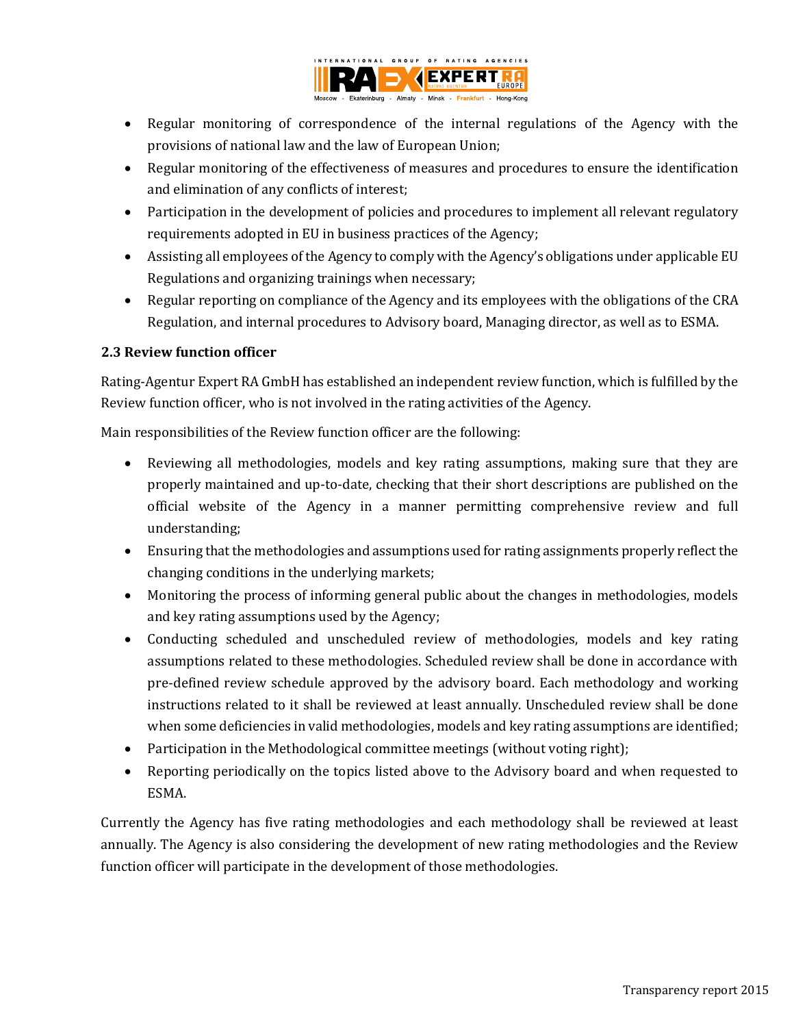

- Regular monitoring of correspondence of the internal regulations of the Agency with the provisions of national law and the law of European Union;
- Regular monitoring of the effectiveness of measures and procedures to ensure the identification and elimination of any conflicts of interest;
- Participation in the development of policies and procedures to implement all relevant regulatory requirements adopted in EU in business practices of the Agency;
- Assisting all employees of the Agency to comply with the Agency's obligations under applicable EU Regulations and organizing trainings when necessary;
- Regular reporting on compliance of the Agency and its employees with the obligations of the CRA Regulation, and internal procedures to Advisory board, Managing director, as well as to ESMA.

# <span id="page-5-0"></span>**2.3 Review function officer**

Rating-Agentur Expert RA GmbH has established an independent review function, which is fulfilled by the Review function officer, who is not involved in the rating activities of the Agency.

Main responsibilities of the Review function officer are the following:

- Reviewing all methodologies, models and key rating assumptions, making sure that they are properly maintained and up-to-date, checking that their short descriptions are published on the official website of the Agency in a manner permitting comprehensive review and full understanding;
- Ensuring that the methodologies and assumptions used for rating assignments properly reflect the changing conditions in the underlying markets;
- Monitoring the process of informing general public about the changes in methodologies, models and key rating assumptions used by the Agency;
- Conducting scheduled and unscheduled review of methodologies, models and key rating assumptions related to these methodologies. Scheduled review shall be done in accordance with pre-defined review schedule approved by the advisory board. Each methodology and working instructions related to it shall be reviewed at least annually. Unscheduled review shall be done when some deficiencies in valid methodologies, models and key rating assumptions are identified;
- Participation in the Methodological committee meetings (without voting right);
- Reporting periodically on the topics listed above to the Advisory board and when requested to ESMA.

Currently the Agency has five rating methodologies and each methodology shall be reviewed at least annually. The Agency is also considering the development of new rating methodologies and the Review function officer will participate in the development of those methodologies.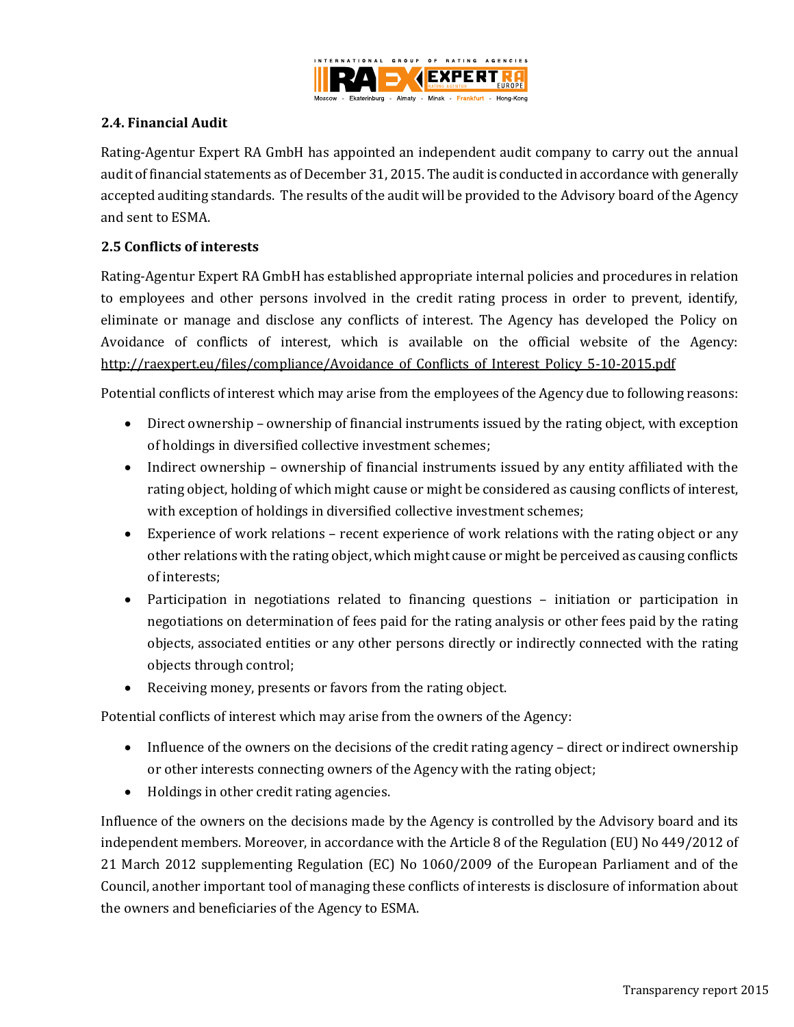

### <span id="page-6-0"></span>**2.4. Financial Audit**

Rating-Agentur Expert RA GmbH has appointed an independent audit company to carry out the annual audit of financial statements as of December 31, 2015. The audit is conducted in accordance with generally accepted auditing standards. The results of the audit will be provided to the Advisory board of the Agency and sent to ESMA.

### <span id="page-6-1"></span>**2.5 Conflicts of interests**

Rating-Agentur Expert RA GmbH has established appropriate internal policies and procedures in relation to employees and other persons involved in the credit rating process in order to prevent, identify, eliminate or manage and disclose any conflicts of interest. The Agency has developed the Policy on Avoidance of conflicts of interest, which is available on the official website of the Agency: [http://raexpert.eu/files/compliance/Avoidance\\_of\\_Conflicts\\_of\\_Interest\\_Policy\\_5-10-2015.pdf](http://raexpert.eu/files/compliance/Avoidance_of_Conflicts_of_Interest_Policy_5-10-2015.pdf)

Potential conflicts of interest which may arise from the employees of the Agency due to following reasons:

- Direct ownership ownership of financial instruments issued by the rating object, with exception of holdings in diversified collective investment schemes;
- Indirect ownership ownership of financial instruments issued by any entity affiliated with the rating object, holding of which might cause or might be considered as causing conflicts of interest, with exception of holdings in diversified collective investment schemes;
- Experience of work relations recent experience of work relations with the rating object or any other relations with the rating object, which might cause or might be perceived as causing conflicts of interests;
- Participation in negotiations related to financing questions initiation or participation in negotiations on determination of fees paid for the rating analysis or other fees paid by the rating objects, associated entities or any other persons directly or indirectly connected with the rating objects through control;
- Receiving money, presents or favors from the rating object.

Potential conflicts of interest which may arise from the owners of the Agency:

- Influence of the owners on the decisions of the credit rating agency direct or indirect ownership or other interests connecting owners of the Agency with the rating object;
- Holdings in other credit rating agencies.

Influence of the owners on the decisions made by the Agency is controlled by the Advisory board and its independent members. Moreover, in accordance with the Article 8 of the Regulation (EU) No 449/2012 of 21 March 2012 supplementing Regulation (EC) No 1060/2009 of the European Parliament and of the Council, another important tool of managing these conflicts of interests is disclosure of information about the owners and beneficiaries of the Agency to ESMA.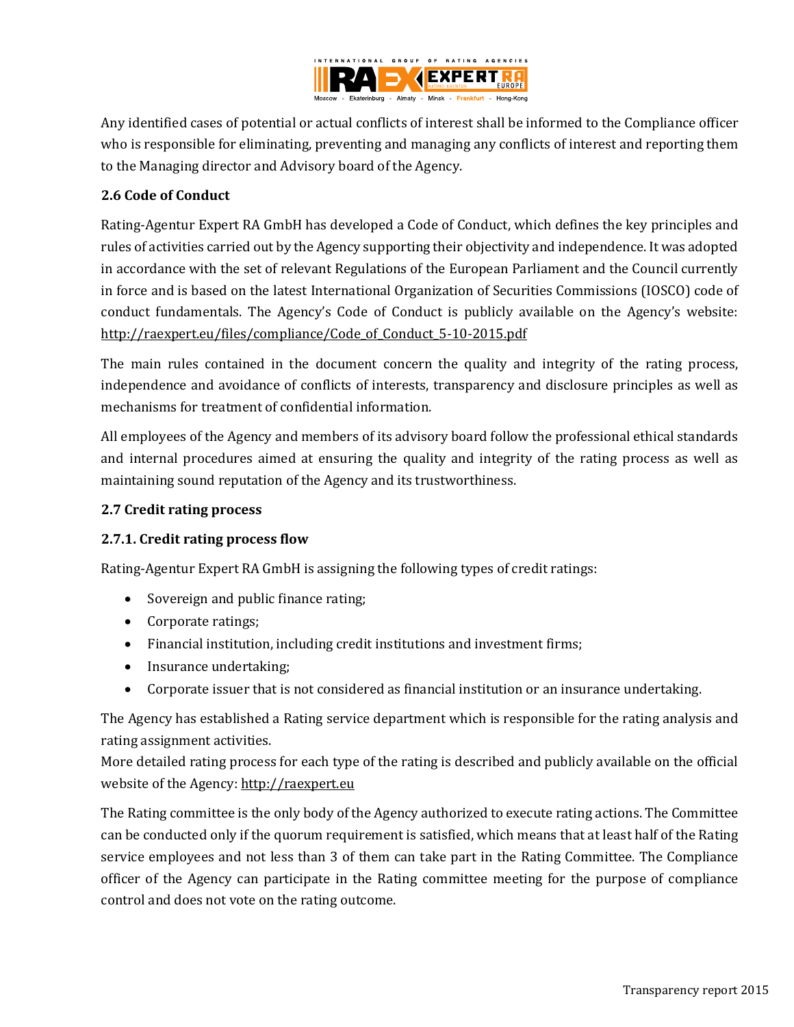

Any identified cases of potential or actual conflicts of interest shall be informed to the Compliance officer who is responsible for eliminating, preventing and managing any conflicts of interest and reporting them to the Managing director and Advisory board of the Agency.

# <span id="page-7-0"></span>**2.6 Code of Conduct**

Rating-Agentur Expert RA GmbH has developed a Code of Conduct, which defines the key principles and rules of activities carried out by the Agency supporting their objectivity and independence. It was adopted in accordance with the set of relevant Regulations of the European Parliament and the Council currently in force and is based on the latest International Organization of Securities Commissions (IOSCO) code of conduct fundamentals. The Agency's Code of Conduct is publicly available on the Agency's website: [http://raexpert.eu/files/compliance/Code\\_of\\_Conduct\\_5-10-2015.pdf](http://raexpert.eu/files/compliance/Code_of_Conduct_5-10-2015.pdf)

The main rules contained in the document concern the quality and integrity of the rating process, independence and avoidance of conflicts of interests, transparency and disclosure principles as well as mechanisms for treatment of confidential information.

All employees of the Agency and members of its advisory board follow the professional ethical standards and internal procedures aimed at ensuring the quality and integrity of the rating process as well as maintaining sound reputation of the Agency and its trustworthiness.

### <span id="page-7-1"></span>**2.7 Credit rating process**

# <span id="page-7-2"></span>**2.7.1. Credit rating process flow**

Rating-Agentur Expert RA GmbH is assigning the following types of credit ratings:

- Sovereign and public finance rating;
- Corporate ratings;
- Financial institution, including credit institutions and investment firms;
- Insurance undertaking;
- Corporate issuer that is not considered as financial institution or an insurance undertaking.

The Agency has established a Rating service department which is responsible for the rating analysis and rating assignment activities.

More detailed rating process for each type of the rating is described and publicly available on the official website of the Agency: [http://raexpert.eu](http://raexpert.eu/)

The Rating committee is the only body of the Agency authorized to execute rating actions. The Committee can be conducted only if the quorum requirement is satisfied, which means that at least half of the Rating service employees and not less than 3 of them can take part in the Rating Committee. The Compliance officer of the Agency can participate in the Rating committee meeting for the purpose of compliance control and does not vote on the rating outcome.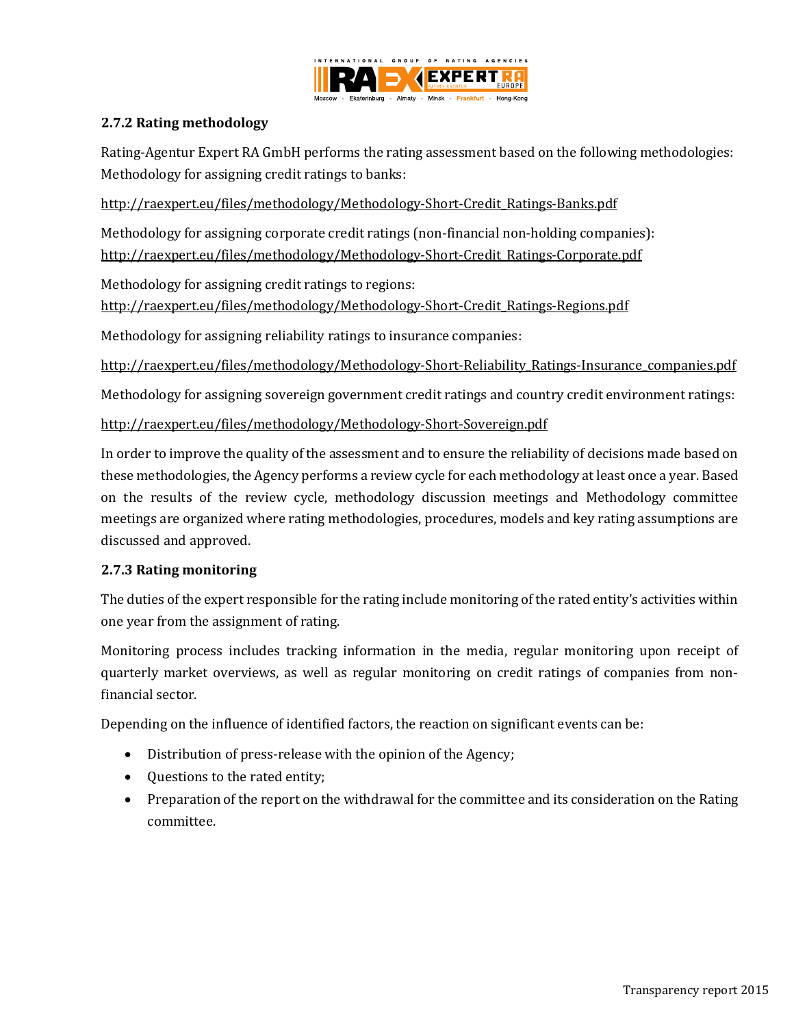

### <span id="page-8-0"></span>**2.7.2 Rating methodology**

Rating-Agentur Expert RA GmbH performs the rating assessment based on the following methodologies: Methodology for assigning credit ratings to banks:

[http://raexpert.eu/files/methodology/Methodology-Short-Credit\\_Ratings-Banks.pdf](http://raexpert.eu/files/methodology/Methodology-Short-Credit_Ratings-Banks.pdf)

Methodology for assigning corporate credit ratings (non-financial non-holding companies): [http://raexpert.eu/files/methodology/Methodology-Short-Credit\\_Ratings-Corporate.pdf](http://raexpert.eu/files/methodology/Methodology-Short-Credit_Ratings-Corporate.pdf)

Methodology for assigning credit ratings to regions:

[http://raexpert.eu/files/methodology/Methodology-Short-Credit\\_Ratings-Regions.pdf](http://raexpert.eu/files/methodology/Methodology-Short-Credit_Ratings-Regions.pdf)

Methodology for assigning reliability ratings to insurance companies:

http://raexpert.eu/files/methodology/Methodology-Short-Reliability\_Ratings-Insurance\_companies.pdf

Methodology for assigning sovereign government credit ratings and country credit environment ratings:

<http://raexpert.eu/files/methodology/Methodology-Short-Sovereign.pdf>

In order to improve the quality of the assessment and to ensure the reliability of decisions made based on these methodologies, the Agency performs a review cycle for each methodology at least once a year. Based on the results of the review cycle, methodology discussion meetings and Methodology committee meetings are organized where rating methodologies, procedures, models and key rating assumptions are discussed and approved.

#### <span id="page-8-1"></span>**2.7.3 Rating monitoring**

The duties of the expert responsible for the rating include monitoring of the rated entity's activities within one year from the assignment of rating.

Monitoring process includes tracking information in the media, regular monitoring upon receipt of quarterly market overviews, as well as regular monitoring on credit ratings of companies from nonfinancial sector.

Depending on the influence of identified factors, the reaction on significant events can be:

- Distribution of press-release with the opinion of the Agency;
- Questions to the rated entity;
- <span id="page-8-2"></span>• Preparation of the report on the withdrawal for the committee and its consideration on the Rating committee.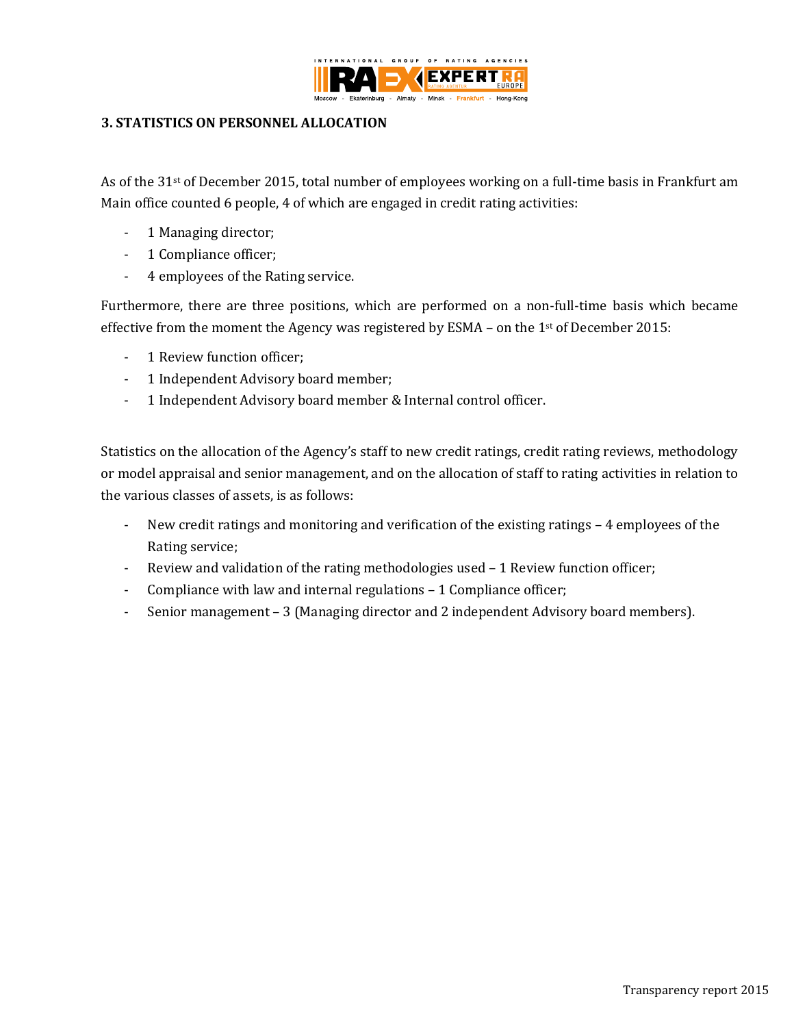

### **3. STATISTICS ON PERSONNEL ALLOCATION**

As of the 31<sup>st</sup> of December 2015, total number of employees working on a full-time basis in Frankfurt am Main office counted 6 people, 4 of which are engaged in credit rating activities:

- 1 Managing director;
- 1 Compliance officer;
- 4 employees of the Rating service.

Furthermore, there are three positions, which are performed on a non-full-time basis which became effective from the moment the Agency was registered by ESMA – on the 1st of December 2015:

- 1 Review function officer;
- 1 Independent Advisory board member;
- 1 Independent Advisory board member & Internal control officer.

Statistics on the allocation of the Agency's staff to new credit ratings, credit rating reviews, methodology or model appraisal and senior management, and on the allocation of staff to rating activities in relation to the various classes of assets, is as follows:

- New credit ratings and monitoring and verification of the existing ratings 4 employees of the Rating service;
- Review and validation of the rating methodologies used 1 Review function officer;
- Compliance with law and internal regulations 1 Compliance officer;
- Senior management 3 (Managing director and 2 independent Advisory board members).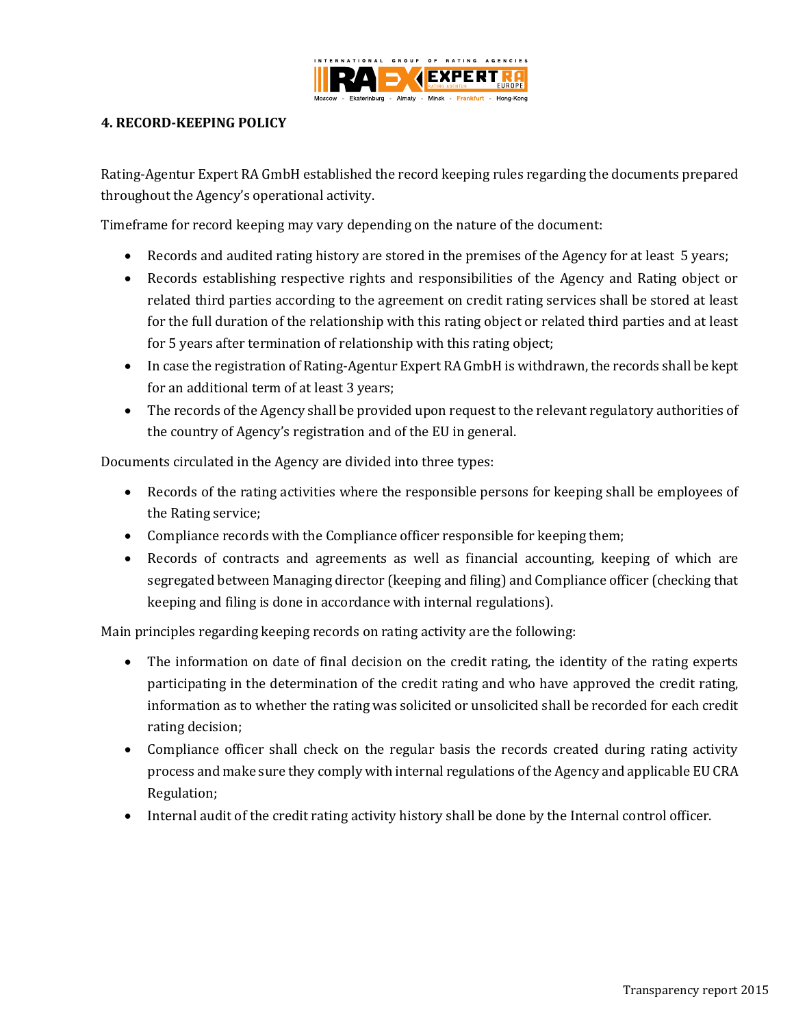

### <span id="page-10-0"></span>**4. RECORD-KEEPING POLICY**

Rating-Agentur Expert RA GmbH established the record keeping rules regarding the documents prepared throughout the Agency's operational activity.

Timeframe for record keeping may vary depending on the nature of the document:

- Records and audited rating history are stored in the premises of the Agency for at least 5 years;
- Records establishing respective rights and responsibilities of the Agency and Rating object or related third parties according to the agreement on credit rating services shall be stored at least for the full duration of the relationship with this rating object or related third parties and at least for 5 years after termination of relationship with this rating object;
- In case the registration of Rating-Agentur Expert RA GmbH is withdrawn, the records shall be kept for an additional term of at least 3 years;
- The records of the Agency shall be provided upon request to the relevant regulatory authorities of the country of Agency's registration and of the EU in general.

Documents circulated in the Agency are divided into three types:

- Records of the rating activities where the responsible persons for keeping shall be employees of the Rating service;
- Compliance records with the Compliance officer responsible for keeping them;
- Records of contracts and agreements as well as financial accounting, keeping of which are segregated between Managing director (keeping and filing) and Compliance officer (checking that keeping and filing is done in accordance with internal regulations).

Main principles regarding keeping records on rating activity are the following:

- The information on date of final decision on the credit rating, the identity of the rating experts participating in the determination of the credit rating and who have approved the credit rating, information as to whether the rating was solicited or unsolicited shall be recorded for each credit rating decision;
- Compliance officer shall check on the regular basis the records created during rating activity process and make sure they comply with internal regulations of the Agency and applicable EU CRA Regulation;
- <span id="page-10-1"></span>Internal audit of the credit rating activity history shall be done by the Internal control officer.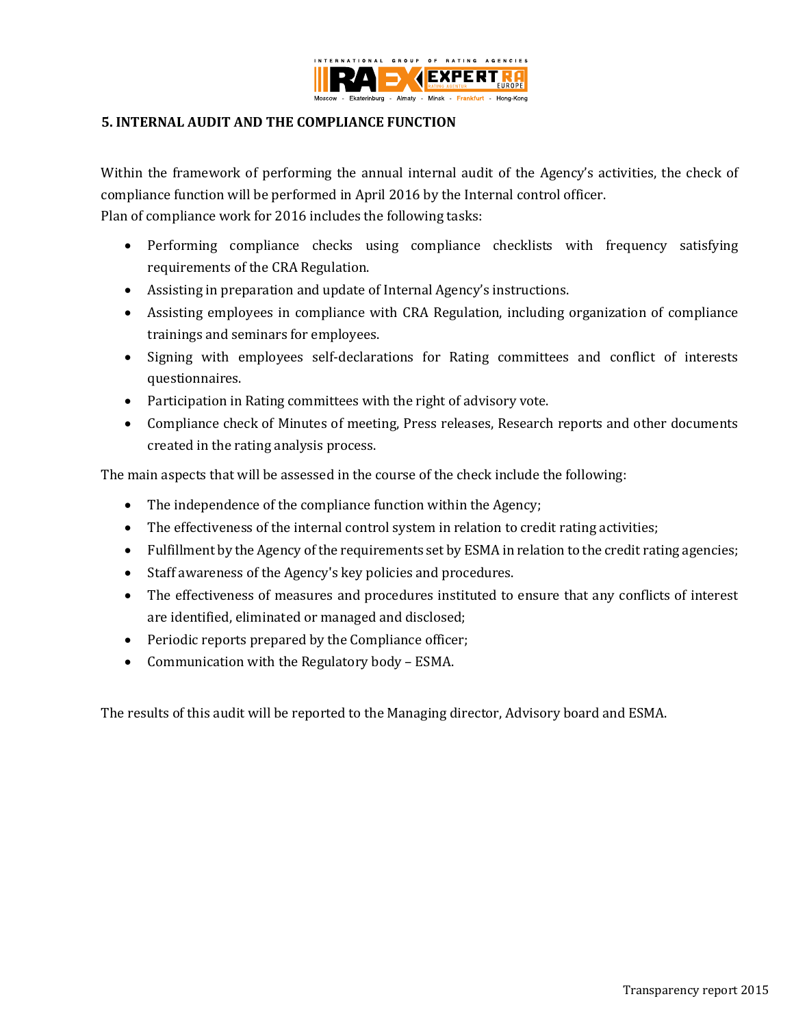

#### **5. INTERNAL AUDIT AND THE COMPLIANCE FUNCTION**

Within the framework of performing the annual internal audit of the Agency's activities, the check of compliance function will be performed in April 2016 by the Internal control officer. Plan of compliance work for 2016 includes the following tasks:

- Performing compliance checks using compliance checklists with frequency satisfying requirements of the CRA Regulation.
- Assisting in preparation and update of Internal Agency's instructions.
- Assisting employees in compliance with CRA Regulation, including organization of compliance trainings and seminars for employees.
- Signing with employees self-declarations for Rating committees and conflict of interests questionnaires.
- Participation in Rating committees with the right of advisory vote.
- Compliance check of Minutes of meeting, Press releases, Research reports and other documents created in the rating analysis process.

The main aspects that will be assessed in the course of the check include the following:

- The independence of the compliance function within the Agency;
- The effectiveness of the internal control system in relation to credit rating activities;
- Fulfillment by the Agency of the requirements set by ESMA in relation to the credit rating agencies;
- Staff awareness of the Agency's key policies and procedures.
- The effectiveness of measures and procedures instituted to ensure that any conflicts of interest are identified, eliminated or managed and disclosed;
- Periodic reports prepared by the Compliance officer;
- Communication with the Regulatory body ESMA.

The results of this audit will be reported to the Managing director, Advisory board and ESMA.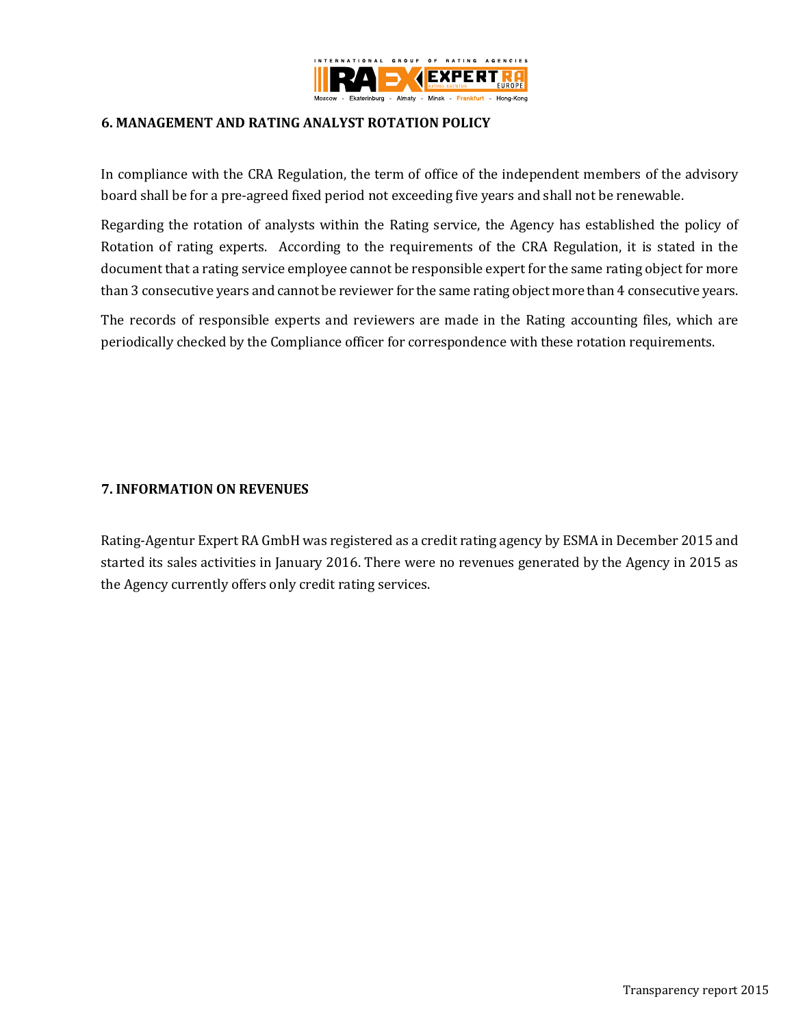

### <span id="page-12-0"></span>**6. MANAGEMENT AND RATING ANALYST ROTATION POLICY**

In compliance with the CRA Regulation, the term of office of the independent members of the advisory board shall be for a pre-agreed fixed period not exceeding five years and shall not be renewable.

Regarding the rotation of analysts within the Rating service, the Agency has established the policy of Rotation of rating experts. According to the requirements of the CRA Regulation, it is stated in the document that a rating service employee cannot be responsible expert for the same rating object for more than 3 consecutive years and cannot be reviewer for the same rating object more than 4 consecutive years.

The records of responsible experts and reviewers are made in the Rating accounting files, which are periodically checked by the Compliance officer for correspondence with these rotation requirements.

#### <span id="page-12-1"></span>**7. INFORMATION ON REVENUES**

<span id="page-12-2"></span>Rating-Agentur Expert RA GmbH was registered as a credit rating agency by ESMA in December 2015 and started its sales activities in January 2016. There were no revenues generated by the Agency in 2015 as the Agency currently offers only credit rating services.